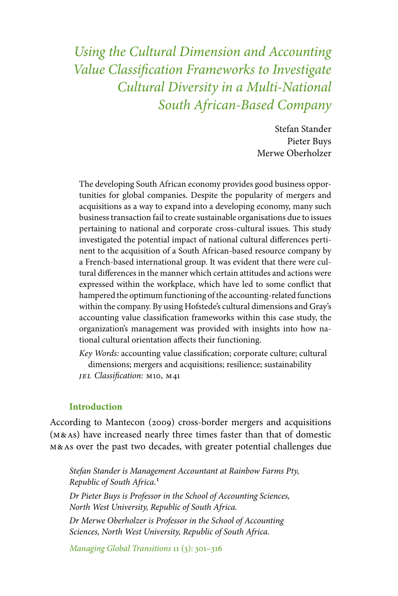*Using the Cultural Dimension and Accounting Value Classification Frameworks to Investigate Cultural Diversity in a Multi-National South African-Based Company*

> Stefan Stander Pieter Buys Merwe Oberholzer

The developing South African economy provides good business opportunities for global companies. Despite the popularity of mergers and acquisitions as a way to expand into a developing economy, many such business transaction fail to create sustainable organisations due to issues pertaining to national and corporate cross-cultural issues. This study investigated the potential impact of national cultural differences pertinent to the acquisition of a South African-based resource company by a French-based international group. It was evident that there were cultural differences in the manner which certain attitudes and actions were expressed within the workplace, which have led to some conflict that hampered the optimum functioning of the accounting-related functions within the company. By using Hofstede's cultural dimensions and Gray's accounting value classification frameworks within this case study, the organization's management was provided with insights into how national cultural orientation affects their functioning.

*Key Words:* accounting value classification; corporate culture; cultural dimensions; mergers and acquisitions; resilience; sustainability *jel Classification:* m10, m41

## **Introduction**

According to Mantecon (2009) cross-border mergers and acquisitions (m&as) have increased nearly three times faster than that of domestic m&as over the past two decades, with greater potential challenges due

*Stefan Stander is Management Accountant at Rainbow Farms Pty, Republic of South Africa.*1

*Dr Pieter Buys is Professor in the School of Accounting Sciences, North West University, Republic of South Africa.*

*Dr Merwe Oberholzer is Professor in the School of Accounting Sciences, North West University, Republic of South Africa.*

*Managing Global Transitions* 11 (3): 301–316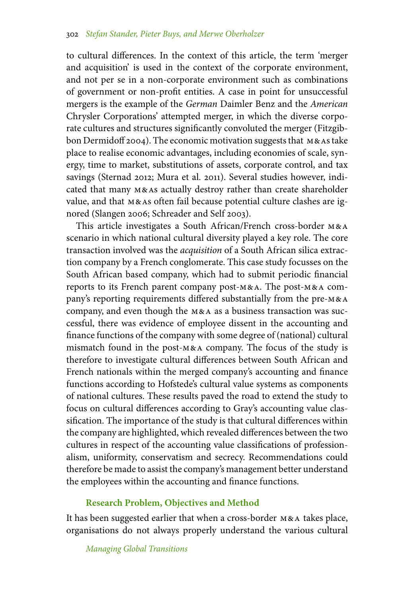to cultural differences. In the context of this article, the term 'merger and acquisition' is used in the context of the corporate environment, and not per se in a non-corporate environment such as combinations of government or non-profit entities. A case in point for unsuccessful mergers is the example of the *German* Daimler Benz and the *American* Chrysler Corporations' attempted merger, in which the diverse corporate cultures and structures significantly convoluted the merger (Fitzgibbon Dermidoff 2004). The economic motivation suggests that M&As take place to realise economic advantages, including economies of scale, synergy, time to market, substitutions of assets, corporate control, and tax savings (Sternad 2012; Mura et al. 2011). Several studies however, indicated that many m&as actually destroy rather than create shareholder value, and that m&as often fail because potential culture clashes are ignored (Slangen 2006; Schreader and Self 2003).

This article investigates a South African/French cross-border m&a scenario in which national cultural diversity played a key role. The core transaction involved was the *acquisition* of a South African silica extraction company by a French conglomerate. This case study focusses on the South African based company, which had to submit periodic financial reports to its French parent company post-m&a. The post-m&a company's reporting requirements differed substantially from the pre-m&a company, and even though the m&a as a business transaction was successful, there was evidence of employee dissent in the accounting and finance functions of the company with some degree of (national) cultural mismatch found in the post-m&a company. The focus of the study is therefore to investigate cultural differences between South African and French nationals within the merged company's accounting and finance functions according to Hofstede's cultural value systems as components of national cultures. These results paved the road to extend the study to focus on cultural differences according to Gray's accounting value classification. The importance of the study is that cultural differences within the company are highlighted, which revealed differences between the two cultures in respect of the accounting value classifications of professionalism, uniformity, conservatism and secrecy. Recommendations could therefore be made to assist the company's management better understand the employees within the accounting and finance functions.

## **Research Problem, Objectives and Method**

It has been suggested earlier that when a cross-border m&a takes place, organisations do not always properly understand the various cultural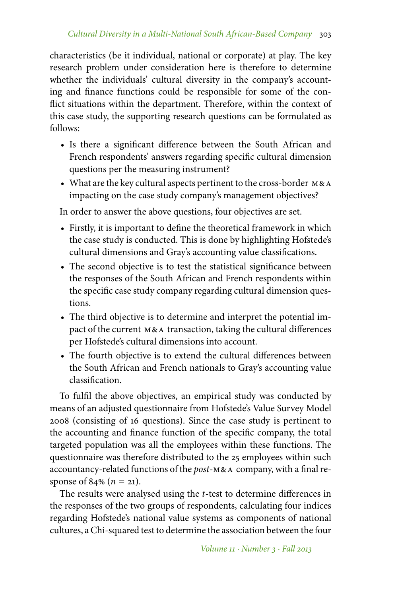characteristics (be it individual, national or corporate) at play. The key research problem under consideration here is therefore to determine whether the individuals' cultural diversity in the company's accounting and finance functions could be responsible for some of the conflict situations within the department. Therefore, within the context of this case study, the supporting research questions can be formulated as follows:

- Is there a significant difference between the South African and French respondents' answers regarding specific cultural dimension questions per the measuring instrument?
- What are the key cultural aspects pertinent to the cross-border M&A impacting on the case study company's management objectives?

In order to answer the above questions, four objectives are set.

- Firstly, it is important to define the theoretical framework in which the case study is conducted. This is done by highlighting Hofstede's cultural dimensions and Gray's accounting value classifications.
- The second objective is to test the statistical significance between the responses of the South African and French respondents within the specific case study company regarding cultural dimension questions.
- The third objective is to determine and interpret the potential impact of the current m&a transaction, taking the cultural differences per Hofstede's cultural dimensions into account.
- The fourth objective is to extend the cultural differences between the South African and French nationals to Gray's accounting value classification.

To fulfil the above objectives, an empirical study was conducted by means of an adjusted questionnaire from Hofstede's Value Survey Model 2008 (consisting of 16 questions). Since the case study is pertinent to the accounting and finance function of the specific company, the total targeted population was all the employees within these functions. The questionnaire was therefore distributed to the 25 employees within such accountancy-related functions of the *post*-m&a company, with a final response of 84% ( $n = 21$ ).

The results were analysed using the *t*-test to determine differences in the responses of the two groups of respondents, calculating four indices regarding Hofstede's national value systems as components of national cultures, a Chi-squared test to determine the association between the four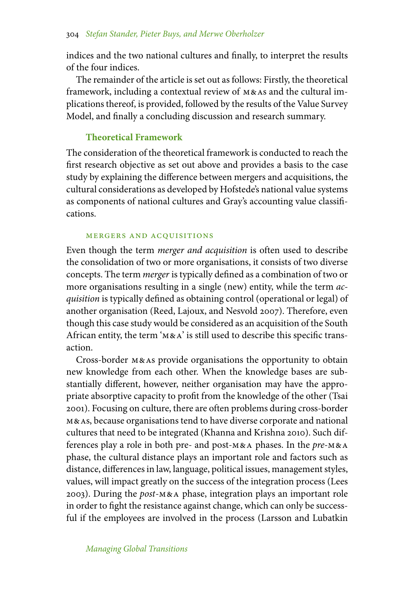indices and the two national cultures and finally, to interpret the results of the four indices.

The remainder of the article is set out as follows: Firstly, the theoretical framework, including a contextual review of m&as and the cultural implications thereof, is provided, followed by the results of the Value Survey Model, and finally a concluding discussion and research summary.

## **Theoretical Framework**

The consideration of the theoretical framework is conducted to reach the first research objective as set out above and provides a basis to the case study by explaining the difference between mergers and acquisitions, the cultural considerations as developed by Hofstede's national value systems as components of national cultures and Gray's accounting value classifications.

#### mergers and acquisitions

Even though the term *merger and acquisition* is often used to describe the consolidation of two or more organisations, it consists of two diverse concepts. The term *merger* is typically defined as a combination of two or more organisations resulting in a single (new) entity, while the term *acquisition* is typically defined as obtaining control (operational or legal) of another organisation (Reed, Lajoux, and Nesvold 2007). Therefore, even though this case study would be considered as an acquisition of the South African entity, the term 'm&a' is still used to describe this specific transaction.

Cross-border m&as provide organisations the opportunity to obtain new knowledge from each other. When the knowledge bases are substantially different, however, neither organisation may have the appropriate absorptive capacity to profit from the knowledge of the other (Tsai 2001). Focusing on culture, there are often problems during cross-border m&as, because organisations tend to have diverse corporate and national cultures that need to be integrated (Khanna and Krishna 2010). Such differences play a role in both pre- and post-m&a phases. In the *pre*-m&a phase, the cultural distance plays an important role and factors such as distance, differences in law, language, political issues, management styles, values, will impact greatly on the success of the integration process (Lees 2003). During the *post*-m&a phase, integration plays an important role in order to fight the resistance against change, which can only be successful if the employees are involved in the process (Larsson and Lubatkin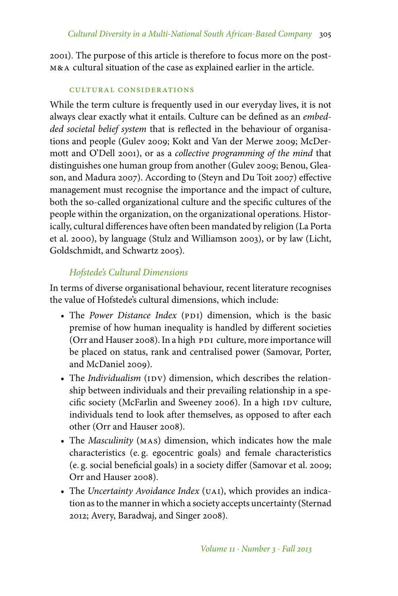2001). The purpose of this article is therefore to focus more on the postm&a cultural situation of the case as explained earlier in the article.

## cultural considerations

While the term culture is frequently used in our everyday lives, it is not always clear exactly what it entails. Culture can be defined as an *embedded societal belief system* that is reflected in the behaviour of organisations and people (Gulev 2009; Kokt and Van der Merwe 2009; McDermott and O'Dell 2001), or as a *collective programming of the mind* that distinguishes one human group from another (Gulev 2009; Benou, Gleason, and Madura 2007). According to (Steyn and Du Toit 2007) effective management must recognise the importance and the impact of culture, both the so-called organizational culture and the specific cultures of the people within the organization, on the organizational operations. Historically, cultural differences have often been mandated by religion (La Porta et al. 2000), by language (Stulz and Williamson 2003), or by law (Licht, Goldschmidt, and Schwartz 2005).

# *Hofstede's Cultural Dimensions*

In terms of diverse organisational behaviour, recent literature recognises the value of Hofstede's cultural dimensions, which include:

- The *Power Distance Index* (PDI) dimension, which is the basic premise of how human inequality is handled by different societies (Orr and Hauser 2008). In a high PDI culture, more importance will be placed on status, rank and centralised power (Samovar, Porter, and McDaniel 2009).
- The *Individualism* (IDV) dimension, which describes the relationship between individuals and their prevailing relationship in a specific society (McFarlin and Sweeney 2006). In a high IDV culture, individuals tend to look after themselves, as opposed to after each other (Orr and Hauser 2008).
- The *Masculinity* (mas) dimension, which indicates how the male characteristics (e. g. egocentric goals) and female characteristics (e. g. social beneficial goals) in a society differ (Samovar et al. 2009; Orr and Hauser 2008).
- The *Uncertainty Avoidance Index* (UAI), which provides an indication as to the manner in which a society accepts uncertainty (Sternad 2012; Avery, Baradwaj, and Singer 2008).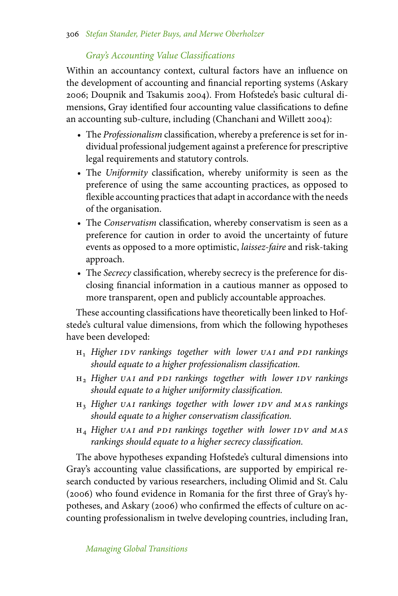# *Gray's Accounting Value Classifications*

Within an accountancy context, cultural factors have an influence on the development of accounting and financial reporting systems (Askary 2006; Doupnik and Tsakumis 2004). From Hofstede's basic cultural dimensions, Gray identified four accounting value classifications to define an accounting sub-culture, including (Chanchani and Willett 2004):

- The *Professionalism* classification, whereby a preference is set for individual professional judgement against a preference for prescriptive legal requirements and statutory controls.
- The *Uniformity* classification, whereby uniformity is seen as the preference of using the same accounting practices, as opposed to flexible accounting practices that adapt in accordance with the needs of the organisation.
- The *Conservatism* classification, whereby conservatism is seen as a preference for caution in order to avoid the uncertainty of future events as opposed to a more optimistic, *laissez-faire* and risk-taking approach.
- The *Secrecy* classification, whereby secrecy is the preference for disclosing financial information in a cautious manner as opposed to more transparent, open and publicly accountable approaches.

These accounting classifications have theoretically been linked to Hofstede's cultural value dimensions, from which the following hypotheses have been developed:

- $H_1$  *Higher IDV rankings together with lower UAI and PDI rankings should equate to a higher professionalism classification.*
- $H<sub>2</sub>$  *Higher uai and ppi rankings together with lower IDV rankings should equate to a higher uniformity classification.*
- $H_3$  *Higher uai rankings together with lower IDV and MAS rankings should equate to a higher conservatism classification.*
- $H_4$  *Higher uai and ppi rankings together with lower IDV and MAS rankings should equate to a higher secrecy classification.*

The above hypotheses expanding Hofstede's cultural dimensions into Gray's accounting value classifications, are supported by empirical research conducted by various researchers, including Olimid and St. Calu (2006) who found evidence in Romania for the first three of Gray's hypotheses, and Askary (2006) who confirmed the effects of culture on accounting professionalism in twelve developing countries, including Iran,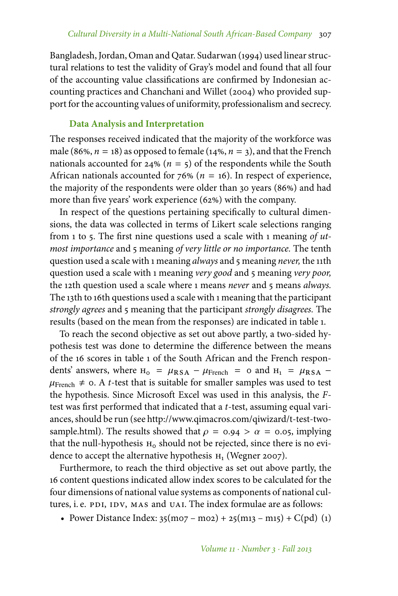Bangladesh, Jordan, Oman and Qatar. Sudarwan (1994) used linear structural relations to test the validity of Gray's model and found that all four of the accounting value classifications are confirmed by Indonesian accounting practices and Chanchani and Willet (2004) who provided support for the accounting values of uniformity, professionalism and secrecy.

## **Data Analysis and Interpretation**

The responses received indicated that the majority of the workforce was male (86%,  $n = 18$ ) as opposed to female (14%,  $n = 3$ ), and that the French nationals accounted for  $24\%$  ( $n = 5$ ) of the respondents while the South African nationals accounted for  $76\%$  ( $n = 16$ ). In respect of experience, the majority of the respondents were older than 30 years (86%) and had more than five years' work experience  $(62%)$  with the company.

In respect of the questions pertaining specifically to cultural dimensions, the data was collected in terms of Likert scale selections ranging from 1 to 5. The first nine questions used a scale with 1 meaning *of utmost importance* and 5 meaning *of very little or no importance.* The tenth question used a scale with 1 meaning *always* and 5 meaning *never,* the 11th question used a scale with 1 meaning *very good* and 5 meaning *very poor,* the 12th question used a scale where 1 means *never* and 5 means *always.* The 13th to 16th questions used a scale with 1 meaning that the participant *strongly agrees* and 5 meaning that the participant *strongly disagrees.* The results (based on the mean from the responses) are indicated in table 1.

To reach the second objective as set out above partly, a two-sided hypothesis test was done to determine the difference between the means of the 16 scores in table 1 of the South African and the French respondents' answers, where  $H_0 = \mu_{RSA} - \mu_{French} = 0$  and  $H_1 = \mu_{RSA} \mu_{\text{French}}$   $\neq$  0. A *t*-test that is suitable for smaller samples was used to test the hypothesis. Since Microsoft Excel was used in this analysis, the *F*test was first performed that indicated that a *t*-test, assuming equal variances, should be run (see http://www.qimacros.com/qiwizard/t-test-twosample.html). The results showed that  $\rho = 0.94 > \alpha = 0.05$ , implying that the null-hypothesis  $H_0$  should not be rejected, since there is no evidence to accept the alternative hypothesis  $H_1$  (Wegner 2007).

Furthermore, to reach the third objective as set out above partly, the 16 content questions indicated allow index scores to be calculated for the four dimensions of national value systems as components of national cultures, i. e. PDI, IDV, MAS and UAI. The index formulae are as follows:

• Power Distance Index:  $35(m07 - m02) + 25(m13 - m15) + C(pd)$  (1)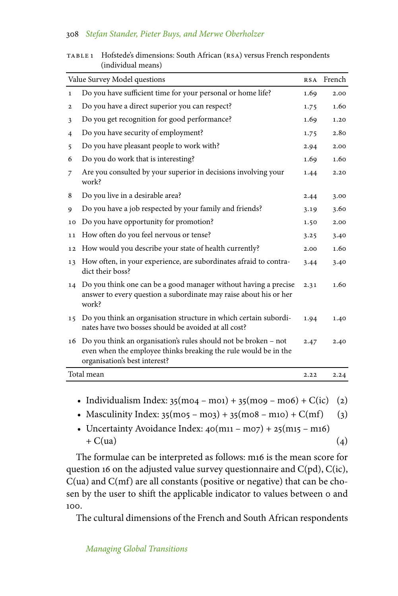### 308 *Stefan Stander, Pieter Buys, and Merwe Oberholzer*

| Value Survey Model questions |                                                                                                                                                                     |      | French |
|------------------------------|---------------------------------------------------------------------------------------------------------------------------------------------------------------------|------|--------|
| $\mathbf{1}$                 | Do you have sufficient time for your personal or home life?                                                                                                         | 1.69 | 2.00   |
| $\mathbf{2}$                 | Do you have a direct superior you can respect?                                                                                                                      | 1.75 | 1.60   |
| 3                            | Do you get recognition for good performance?                                                                                                                        | 1.69 | 1.20   |
| $\overline{4}$               | Do you have security of employment?                                                                                                                                 | 1.75 | 2.80   |
| 5                            | Do you have pleasant people to work with?                                                                                                                           | 2.94 | 2.00   |
| 6                            | Do you do work that is interesting?                                                                                                                                 | 1.69 | 1.60   |
| 7                            | Are you consulted by your superior in decisions involving your<br>work?                                                                                             | 1.44 | 2.20   |
| 8                            | Do you live in a desirable area?                                                                                                                                    | 2.44 | 3.00   |
| 9                            | Do you have a job respected by your family and friends?                                                                                                             | 3.19 | 3.60   |
| 10                           | Do you have opportunity for promotion?                                                                                                                              | 1.50 | 2.00   |
| 11                           | How often do you feel nervous or tense?                                                                                                                             | 3.25 | 3.40   |
| 12                           | How would you describe your state of health currently?                                                                                                              | 2.00 | 1.60   |
| 13                           | How often, in your experience, are subordinates afraid to contra-<br>dict their boss?                                                                               | 3.44 | 3.40   |
| 14                           | Do you think one can be a good manager without having a precise<br>answer to every question a subordinate may raise about his or her<br>work?                       | 2.31 | 1.60   |
| 15                           | Do you think an organisation structure in which certain subordi-<br>nates have two bosses should be avoided at all cost?                                            | 1.94 | 1.40   |
| 16                           | Do you think an organisation's rules should not be broken - not<br>even when the employee thinks breaking the rule would be in the<br>organisation's best interest? | 2.47 | 2.40   |
| Total mean                   |                                                                                                                                                                     |      | 2.24   |

| TABLE 1 | Hofstede's dimensions: South African (RSA) versus French respondents |
|---------|----------------------------------------------------------------------|
|         | (individual means)                                                   |

- Individualism Index:  $35(m04 m01) + 35(m09 m06) + C(ic)$  (2)
- Masculinity Index:  $35(m05 m03) + 35(m08 m10) + C(mf)$  (3)
- Uncertainty Avoidance Index:  $40(m_{11} m_{07}) + 25(m_{15} m_{16})$  $+ C(ua)$  (4)

The formulae can be interpreted as follows: m16 is the mean score for question 16 on the adjusted value survey questionnaire and  $C(pd)$ ,  $C(ic)$ , C(ua) and C(mf) are all constants (positive or negative) that can be chosen by the user to shift the applicable indicator to values between 0 and 100.

The cultural dimensions of the French and South African respondents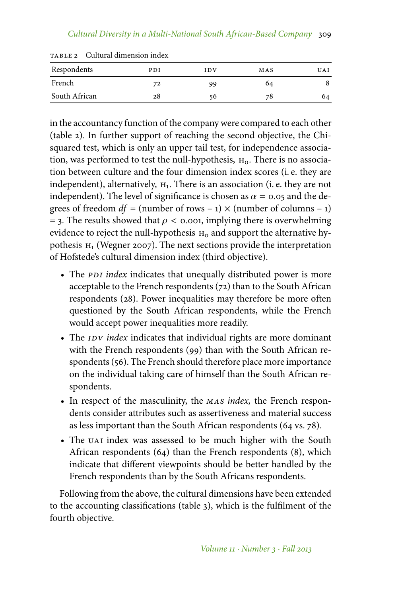| Respondents   | PDI | IDV | MAS | UAI |
|---------------|-----|-----|-----|-----|
| French        | 72  | 99  | 64  |     |
| South African | 28  | 56  | 78  | 64  |

TABLE 2 Cultural dimension index

in the accountancy function of the company were compared to each other (table 2). In further support of reaching the second objective, the Chisquared test, which is only an upper tail test, for independence association, was performed to test the null-hypothesis,  $H_0$ . There is no association between culture and the four dimension index scores (i. e. they are independent), alternatively,  $H_1$ . There is an association (i. e. they are not independent). The level of significance is chosen as  $\alpha = 0.05$  and the degrees of freedom  $df =$  (number of rows – 1)  $\times$  (number of columns – 1)  $=$  3. The results showed that  $\rho <$  0.001, implying there is overwhelming evidence to reject the null-hypothesis  $H_0$  and support the alternative hypothesis  $H_1$  (Wegner 2007). The next sections provide the interpretation of Hofstede's cultural dimension index (third objective).

- The *PDI index* indicates that unequally distributed power is more acceptable to the French respondents (72) than to the South African respondents (28). Power inequalities may therefore be more often questioned by the South African respondents, while the French would accept power inequalities more readily.
- The *IDV index* indicates that individual rights are more dominant with the French respondents (99) than with the South African respondents (56). The French should therefore place more importance on the individual taking care of himself than the South African respondents.
- In respect of the masculinity, the *mas index,* the French respondents consider attributes such as assertiveness and material success as less important than the South African respondents (64 vs. 78).
- The UAI index was assessed to be much higher with the South African respondents (64) than the French respondents (8), which indicate that different viewpoints should be better handled by the French respondents than by the South Africans respondents.

Following from the above, the cultural dimensions have been extended to the accounting classifications (table 3), which is the fulfilment of the fourth objective.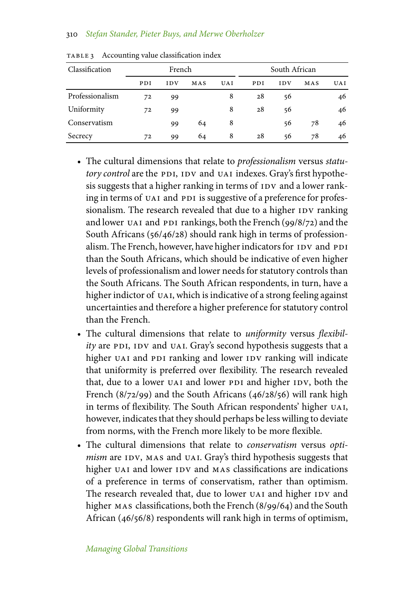### 310 *Stefan Stander, Pieter Buys, and Merwe Oberholzer*

| Classification  | French |            |     | South African |     |            |     |     |
|-----------------|--------|------------|-----|---------------|-----|------------|-----|-----|
|                 | PDI    | <b>IDV</b> | MAS | <b>UAI</b>    | PDI | <b>IDV</b> | MAS | UAI |
| Professionalism | 72     | 99         |     | 8             | 28  | 56         |     | 46  |
| Uniformity      | 72     | 99         |     | 8             | 28  | 56         |     | 46  |
| Conservatism    |        | 99         | 64  | 8             |     | 56         | 78  | 46  |
| Secrecy         | 72     | 99         | 64  | 8             | 28  | 56         | 78  | 46  |

TABLE 3 Accounting value classification index

- The cultural dimensions that relate to *professionalism* versus *statutory control* are the PDI, IDV and UAI indexes. Gray's first hypothesis suggests that a higher ranking in terms of IDV and a lower ranking in terms of UAI and PDI is suggestive of a preference for professionalism. The research revealed that due to a higher IDV ranking and lower UAI and PDI rankings, both the French (99/8/72) and the South Africans (56/46/28) should rank high in terms of professionalism. The French, however, have higher indicators for IDV and PDI than the South Africans, which should be indicative of even higher levels of professionalism and lower needs for statutory controls than the South Africans. The South African respondents, in turn, have a higher indictor of UAI, which is indicative of a strong feeling against uncertainties and therefore a higher preference for statutory control than the French.
- The cultural dimensions that relate to *uniformity* versus *flexibility* are PDI, IDV and UAI. Gray's second hypothesis suggests that a higher UAI and PDI ranking and lower IDV ranking will indicate that uniformity is preferred over flexibility. The research revealed that, due to a lower UAI and lower PDI and higher IDV, both the French (8/72/99) and the South Africans (46/28/56) will rank high in terms of flexibility. The South African respondents' higher UAI, however, indicates that they should perhaps be less willing to deviate from norms, with the French more likely to be more flexible.
- The cultural dimensions that relate to *conservatism* versus *optimism* are IDV, MAS and UAI. Gray's third hypothesis suggests that higher UAI and lower IDV and MAS classifications are indications of a preference in terms of conservatism, rather than optimism. The research revealed that, due to lower UAI and higher IDV and higher MAS classifications, both the French (8/99/64) and the South African (46/56/8) respondents will rank high in terms of optimism,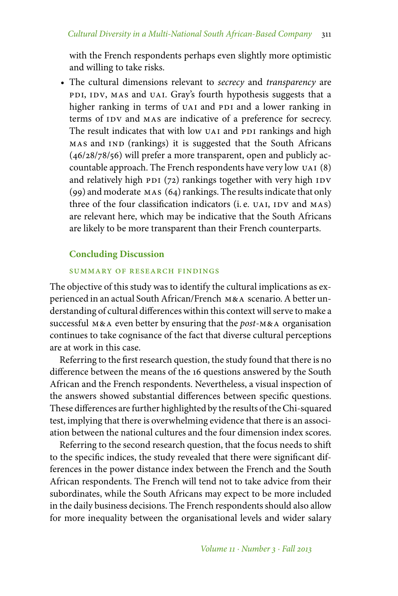with the French respondents perhaps even slightly more optimistic and willing to take risks.

• The cultural dimensions relevant to *secrecy* and *transparency* are pdi, idv, mas and uai. Gray's fourth hypothesis suggests that a higher ranking in terms of UAI and PDI and a lower ranking in terms of IDV and MAS are indicative of a preference for secrecy. The result indicates that with low UAI and PDI rankings and high mas and ind (rankings) it is suggested that the South Africans (46/28/78/56) will prefer a more transparent, open and publicly accountable approach. The French respondents have very low uai (8) and relatively high  $pDI$  (72) rankings together with very high  $IDV$ (99) and moderate mas (64) rankings. The results indicate that only three of the four classification indicators (i.e. UAI, IDV and MAS) are relevant here, which may be indicative that the South Africans are likely to be more transparent than their French counterparts.

## **Concluding Discussion**

### summary of research findings

The objective of this study was to identify the cultural implications as experienced in an actual South African/French m&a scenario. A better understanding of cultural differences within this context will serve to make a successful m&a even better by ensuring that the *post*-m&a organisation continues to take cognisance of the fact that diverse cultural perceptions are at work in this case.

Referring to the first research question, the study found that there is no difference between the means of the 16 questions answered by the South African and the French respondents. Nevertheless, a visual inspection of the answers showed substantial differences between specific questions. These differences are further highlighted by the results of the Chi-squared test, implying that there is overwhelming evidence that there is an association between the national cultures and the four dimension index scores.

Referring to the second research question, that the focus needs to shift to the specific indices, the study revealed that there were significant differences in the power distance index between the French and the South African respondents. The French will tend not to take advice from their subordinates, while the South Africans may expect to be more included in the daily business decisions. The French respondents should also allow for more inequality between the organisational levels and wider salary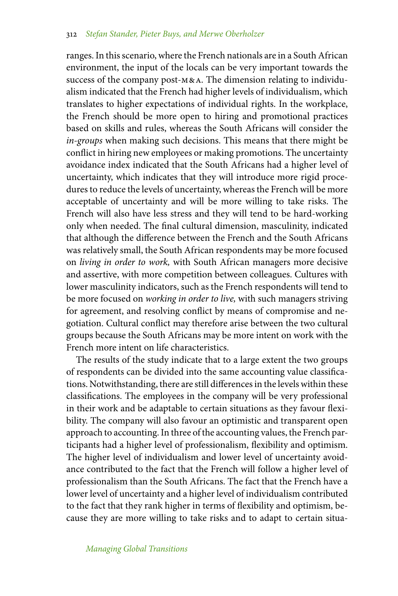ranges. In this scenario, where the French nationals are in a South African environment, the input of the locals can be very important towards the success of the company post-M&A. The dimension relating to individualism indicated that the French had higher levels of individualism, which translates to higher expectations of individual rights. In the workplace, the French should be more open to hiring and promotional practices based on skills and rules, whereas the South Africans will consider the *in-groups* when making such decisions. This means that there might be conflict in hiring new employees or making promotions. The uncertainty avoidance index indicated that the South Africans had a higher level of uncertainty, which indicates that they will introduce more rigid procedures to reduce the levels of uncertainty, whereas the French will be more acceptable of uncertainty and will be more willing to take risks. The French will also have less stress and they will tend to be hard-working only when needed. The final cultural dimension, masculinity, indicated that although the difference between the French and the South Africans was relatively small, the South African respondents may be more focused on *living in order to work,* with South African managers more decisive and assertive, with more competition between colleagues. Cultures with lower masculinity indicators, such as the French respondents will tend to be more focused on *working in order to live,* with such managers striving for agreement, and resolving conflict by means of compromise and negotiation. Cultural conflict may therefore arise between the two cultural groups because the South Africans may be more intent on work with the French more intent on life characteristics.

The results of the study indicate that to a large extent the two groups of respondents can be divided into the same accounting value classifications. Notwithstanding, there are still differences in the levels within these classifications. The employees in the company will be very professional in their work and be adaptable to certain situations as they favour flexibility. The company will also favour an optimistic and transparent open approach to accounting. In three of the accounting values, the French participants had a higher level of professionalism, flexibility and optimism. The higher level of individualism and lower level of uncertainty avoidance contributed to the fact that the French will follow a higher level of professionalism than the South Africans. The fact that the French have a lower level of uncertainty and a higher level of individualism contributed to the fact that they rank higher in terms of flexibility and optimism, because they are more willing to take risks and to adapt to certain situa-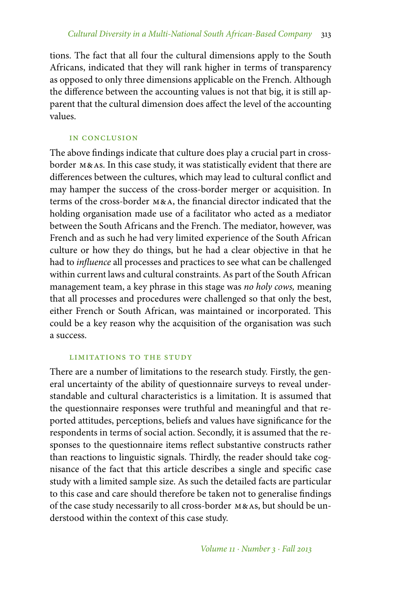tions. The fact that all four the cultural dimensions apply to the South Africans, indicated that they will rank higher in terms of transparency as opposed to only three dimensions applicable on the French. Although the difference between the accounting values is not that big, it is still apparent that the cultural dimension does affect the level of the accounting values.

## in conclusion

The above findings indicate that culture does play a crucial part in crossborder m&as. In this case study, it was statistically evident that there are differences between the cultures, which may lead to cultural conflict and may hamper the success of the cross-border merger or acquisition. In terms of the cross-border m&a, the financial director indicated that the holding organisation made use of a facilitator who acted as a mediator between the South Africans and the French. The mediator, however, was French and as such he had very limited experience of the South African culture or how they do things, but he had a clear objective in that he had to *influence* all processes and practices to see what can be challenged within current laws and cultural constraints. As part of the South African management team, a key phrase in this stage was *no holy cows,* meaning that all processes and procedures were challenged so that only the best, either French or South African, was maintained or incorporated. This could be a key reason why the acquisition of the organisation was such a success.

## limitations to the study

There are a number of limitations to the research study. Firstly, the general uncertainty of the ability of questionnaire surveys to reveal understandable and cultural characteristics is a limitation. It is assumed that the questionnaire responses were truthful and meaningful and that reported attitudes, perceptions, beliefs and values have significance for the respondents in terms of social action. Secondly, it is assumed that the responses to the questionnaire items reflect substantive constructs rather than reactions to linguistic signals. Thirdly, the reader should take cognisance of the fact that this article describes a single and specific case study with a limited sample size. As such the detailed facts are particular to this case and care should therefore be taken not to generalise findings of the case study necessarily to all cross-border m&as, but should be understood within the context of this case study.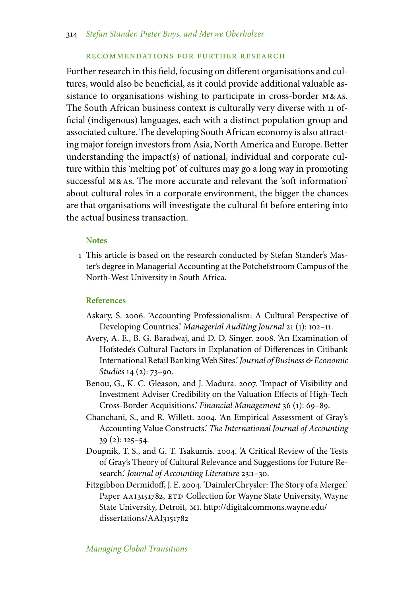#### recommendations for further research

Further research in this field, focusing on different organisations and cultures, would also be beneficial, as it could provide additional valuable assistance to organisations wishing to participate in cross-border m&as. The South African business context is culturally very diverse with 11 official (indigenous) languages, each with a distinct population group and associated culture. The developing South African economy is also attracting major foreign investors from Asia, North America and Europe. Better understanding the impact(s) of national, individual and corporate culture within this 'melting pot' of cultures may go a long way in promoting successful M&As. The more accurate and relevant the 'soft information' about cultural roles in a corporate environment, the bigger the chances are that organisations will investigate the cultural fit before entering into the actual business transaction.

#### **Notes**

1 This article is based on the research conducted by Stefan Stander's Master's degree in Managerial Accounting at the Potchefstroom Campus of the North-West University in South Africa.

#### **References**

- Askary, S. 2006. 'Accounting Professionalism: A Cultural Perspective of Developing Countries.' *Managerial Auditing Journal* 21 (1): 102–11.
- Avery, A. E., B. G. Baradwaj, and D. D. Singer. 2008. 'An Examination of Hofstede's Cultural Factors in Explanation of Differences in Citibank International Retail BankingWeb Sites.'*Journal of Business & Economic Studies* 14 (2): 73–90.
- Benou, G., K. C. Gleason, and J. Madura. 2007. 'Impact of Visibility and Investment Adviser Credibility on the Valuation Effects of High-Tech Cross-Border Acquisitions.' *Financial Management* 36 (1): 69–89.
- Chanchani, S., and R. Willett. 2004. 'An Empirical Assessment of Gray's Accounting Value Constructs.' *The International Journal of Accounting* 39 (2): 125–54.
- Doupnik, T. S., and G. T. Tsakumis. 2004. 'A Critical Review of the Tests of Gray's Theory of Cultural Relevance and Suggestions for Future Research.' *Journal of Accounting Literature* 23:1–30.
- Fitzgibbon Dermidoff, J. E. 2004. 'DaimlerChrysler: The Story of a Merger.' Paper AAI3151782, ETD Collection for Wayne State University, Wayne State University, Detroit, mi. http://digitalcommons.wayne.edu/ dissertations/AAI3151782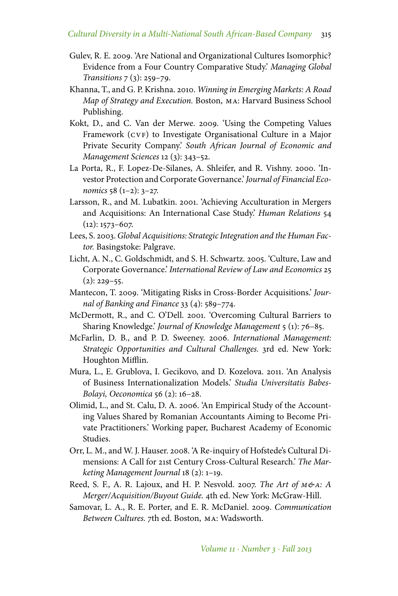- Gulev, R. E. 2009. 'Are National and Organizational Cultures Isomorphic? Evidence from a Four Country Comparative Study.' *Managing Global Transitions* 7 (3): 259–79.
- Khanna, T., and G. P. Krishna. 2010. *Winning in Emerging Markets: A Road Map of Strategy and Execution.* Boston, ma: Harvard Business School Publishing.
- Kokt, D., and C. Van der Merwe. 2009. 'Using the Competing Values Framework (CVF) to Investigate Organisational Culture in a Major Private Security Company.' *South African Journal of Economic and Management Sciences* 12 (3): 343–52.
- La Porta, R., F. Lopez-De-Silanes, A. Shleifer, and R. Vishny. 2000. 'Investor Protection and Corporate Governance.' *Journal of Financial Economics* 58 (1–2): 3–27.
- Larsson, R., and M. Lubatkin. 2001. 'Achieving Acculturation in Mergers and Acquisitions: An International Case Study.' *Human Relations* 54  $(12): 1573 - 607.$
- Lees, S. 2003. *Global Acquisitions: Strategic Integration and the Human Factor.* Basingstoke: Palgrave.
- Licht, A. N., C. Goldschmidt, and S. H. Schwartz. 2005. 'Culture, Law and Corporate Governance.' *International Review of Law and Economics* 25  $(2): 229 - 55.$
- Mantecon, T. 2009. 'Mitigating Risks in Cross-Border Acquisitions.' *Journal of Banking and Finance* 33 (4): 589–774.
- McDermott, R., and C. O'Dell. 2001. 'Overcoming Cultural Barriers to Sharing Knowledge.' *Journal of Knowledge Management* 5 (1): 76–85.
- McFarlin, D. B., and P. D. Sweeney. 2006. *International Management: Strategic Opportunities and Cultural Challenges.* 3rd ed. New York: Houghton Mifflin.
- Mura, L., E. Grublova, I. Gecikovo, and D. Kozelova. 2011. 'An Analysis of Business Internationalization Models.' *Studia Universitatis Babes-Bolayi, Oeconomica* 56 (2): 16–28.
- Olimid, L., and St. Calu, D. A. 2006. 'An Empirical Study of the Accounting Values Shared by Romanian Accountants Aiming to Become Private Practitioners.' Working paper, Bucharest Academy of Economic Studies.
- Orr, L. M., and W. J. Hauser. 2008. 'A Re-inquiry of Hofstede's Cultural Dimensions: A Call for 21st Century Cross-Cultural Research.' *The Marketing Management Journal* 18 (2): 1–19.
- Reed, S. F., A. R. Lajoux, and H. P. Nesvold. 2007. *The Art of M&A: A Merger/Acquisition/Buyout Guide.* 4th ed. New York: McGraw-Hill.
- Samovar, L. A., R. E. Porter, and E. R. McDaniel. 2009. *Communication Between Cultures.* 7th ed. Boston, ma: Wadsworth.